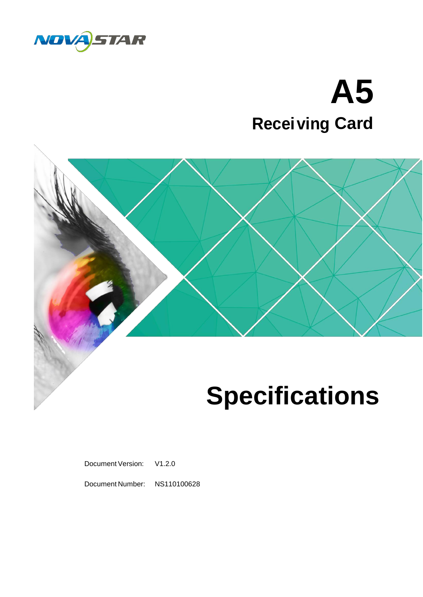

# **ving Card Recei A5**



# **Specifications**

Document Version: V1.2.0

Document Number: NS110100628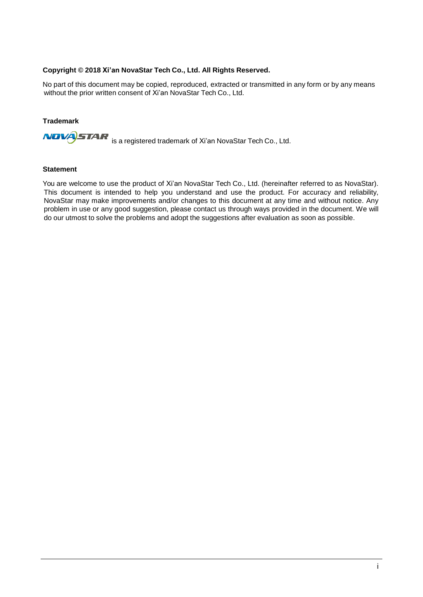#### **Copyright © 2018 Xi'an NovaStar Tech Co., Ltd. All Rights Reserved.**

No part of this document may be copied, reproduced, extracted or transmitted in any form or by any means without the prior written consent of Xi'an NovaStar Tech Co., Ltd.

#### **Trademark**

**NOVA STAR** is a registered trademark of Xi'an NovaStar Tech Co., Ltd.

#### **Statement**

You are welcome to use the product of Xi'an NovaStar Tech Co., Ltd. (hereinafter referred to as NovaStar). This document is intended to help you understand and use the product. For accuracy and reliability, NovaStar may make improvements and/or changes to this document at any time and without notice. Any problem in use or any good suggestion, please contact us through ways provided in the document. We will do our utmost to solve the problems and adopt the suggestions after evaluation as soon as possible.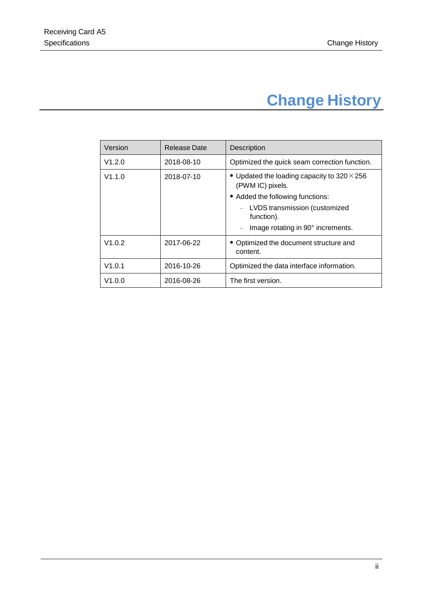# **Change History**

<span id="page-2-0"></span>

| Version | <b>Release Date</b> | Description                                                            |  |  |  |  |
|---------|---------------------|------------------------------------------------------------------------|--|--|--|--|
| V1.2.0  | 2018-08-10          | Optimized the quick seam correction function.                          |  |  |  |  |
| V1.1.0  | 2018-07-10          | • Updated the loading capacity to $320 \times 256$<br>(PWM IC) pixels. |  |  |  |  |
|         |                     | • Added the following functions:                                       |  |  |  |  |
|         |                     | - LVDS transmission (customized<br>function).                          |  |  |  |  |
|         |                     | Image rotating in 90° increments.<br>$\qquad \qquad -$                 |  |  |  |  |
| V1.0.2  | 2017-06-22          | • Optimized the document structure and<br>content.                     |  |  |  |  |
| V1.0.1  | 2016-10-26          | Optimized the data interface information.                              |  |  |  |  |
| V1.0.0  | 2016-08-26          | The first version.                                                     |  |  |  |  |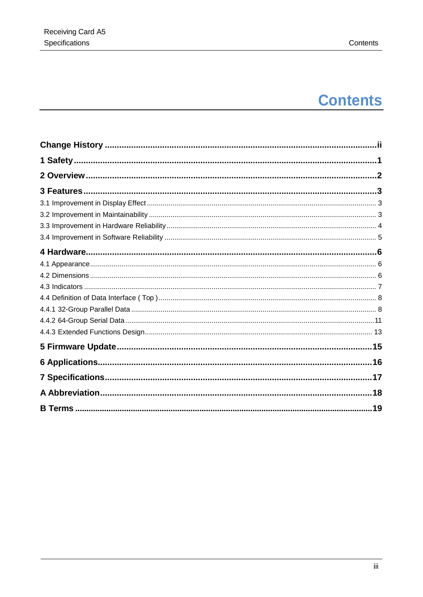# **Contents**

| .19 |  |
|-----|--|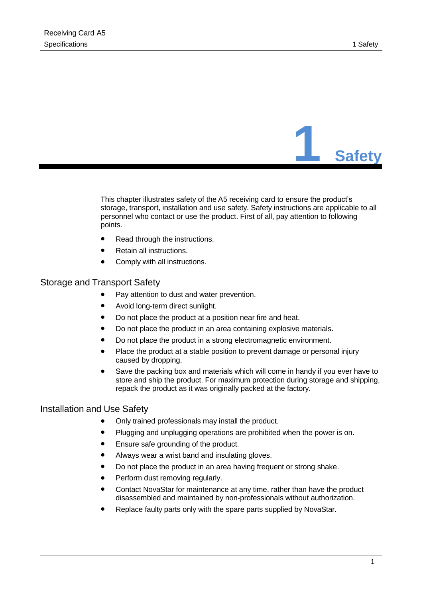

<span id="page-4-0"></span>This chapter illustrates safety of the A5 receiving card to ensure the product's storage, transport, installation and use safety. Safety instructions are applicable to all personnel who contact or use the product. First of all, pay attention to following points.

- Read through the instructions.
- ⚫ Retain all instructions.
- Comply with all instructions.

#### Storage and Transport Safety

- ⚫ Pay attention to dust and water prevention.
- ⚫ Avoid long-term direct sunlight.
- Do not place the product at a position near fire and heat.
- Do not place the product in an area containing explosive materials.
- Do not place the product in a strong electromagnetic environment.
- ⚫ Place the product at a stable position to prevent damage or personal injury caused by dropping.
- Save the packing box and materials which will come in handy if you ever have to store and ship the product. For maximum protection during storage and shipping, repack the product as it was originally packed at the factory.

#### Installation and Use Safety

- ⚫ Only trained professionals may install the product.
- ⚫ Plugging and unplugging operations are prohibited when the power is on.
- ⚫ Ensure safe grounding of the product.
- ⚫ Always wear a wrist band and insulating gloves.
- Do not place the product in an area having frequent or strong shake.
- ⚫ Perform dust removing regularly.
- ⚫ Contact NovaStar for maintenance at any time, rather than have the product disassembled and maintained by non-professionals without authorization.
- ⚫ Replace faulty parts only with the spare parts supplied by NovaStar.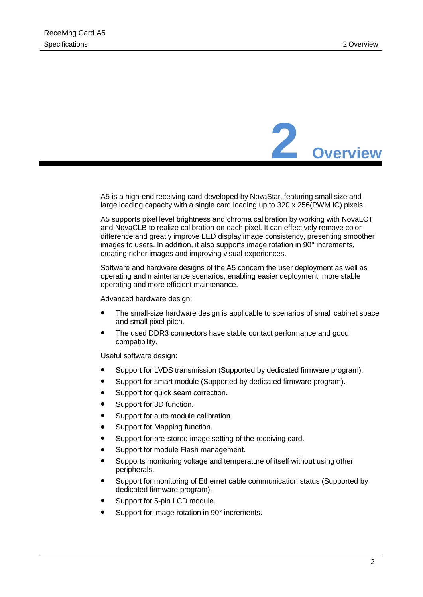

<span id="page-5-0"></span>A5 is a high-end receiving card developed by NovaStar, featuring small size and large loading capacity with a single card loading up to 320 x 256(PWM IC) pixels.

A5 supports pixel level brightness and chroma calibration by working with NovaLCT and NovaCLB to realize calibration on each pixel. It can effectively remove color difference and greatly improve LED display image consistency, presenting smoother images to users. In addition, it also supports image rotation in  $90^\circ$  increments, creating richer images and improving visual experiences.

Software and hardware designs of the A5 concern the user deployment as well as operating and maintenance scenarios, enabling easier deployment, more stable operating and more efficient maintenance.

Advanced hardware design:

- ⚫ The small-size hardware design is applicable to scenarios of small cabinet space and small pixel pitch.
- ⚫ The used DDR3 connectors have stable contact performance and good compatibility.

Useful software design:

- Support for LVDS transmission (Supported by dedicated firmware program).
- Support for smart module (Supported by dedicated firmware program).
- Support for quick seam correction.
- Support for 3D function.
- Support for auto module calibration.
- Support for Mapping function.
- Support for pre-stored image setting of the receiving card.
- ⚫ Support for module Flash management.
- ⚫ Supports monitoring voltage and temperature of itself without using other peripherals.
- ⚫ Support for monitoring of Ethernet cable communication status (Supported by dedicated firmware program).
- Support for 5-pin LCD module.
- Support for image rotation in 90° increments.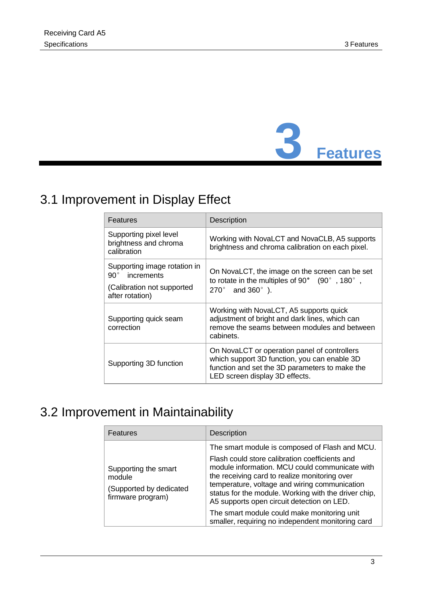

# <span id="page-6-1"></span><span id="page-6-0"></span>3.1 Improvement in Display Effect

| Features                                                                                                    | <b>Description</b>                                                                                                                                                               |  |  |
|-------------------------------------------------------------------------------------------------------------|----------------------------------------------------------------------------------------------------------------------------------------------------------------------------------|--|--|
| Supporting pixel level<br>brightness and chroma<br>calibration                                              | Working with NovaLCT and NovaCLB, A5 supports<br>brightness and chroma calibration on each pixel.                                                                                |  |  |
| Supporting image rotation in<br>$90^{\circ}$<br>increments<br>(Calibration not supported<br>after rotation) | On NovaLCT, the image on the screen can be set<br>to rotate in the multiples of 90 $^{\circ}$ (90 $^{\circ}$ , 180 $^{\circ}$ ,<br>$270^{\circ}$ and $360^{\circ}$ ).            |  |  |
| Supporting quick seam<br>correction                                                                         | Working with NovaLCT, A5 supports quick<br>adjustment of bright and dark lines, which can<br>remove the seams between modules and between<br>cabinets.                           |  |  |
| Supporting 3D function                                                                                      | On NovaLCT or operation panel of controllers<br>which support 3D function, you can enable 3D<br>function and set the 3D parameters to make the<br>LED screen display 3D effects. |  |  |

### <span id="page-6-2"></span>3.2 Improvement in Maintainability

| <b>Features</b>                                                                | <b>Description</b>                                                                                                                                                                                                                                                                                                                                                                                                                                             |  |  |  |
|--------------------------------------------------------------------------------|----------------------------------------------------------------------------------------------------------------------------------------------------------------------------------------------------------------------------------------------------------------------------------------------------------------------------------------------------------------------------------------------------------------------------------------------------------------|--|--|--|
| Supporting the smart<br>module<br>(Supported by dedicated<br>firmware program) | The smart module is composed of Flash and MCU.<br>Flash could store calibration coefficients and<br>module information. MCU could communicate with<br>the receiving card to realize monitoring over<br>temperature, voltage and wiring communication<br>status for the module. Working with the driver chip,<br>A5 supports open circuit detection on LED.<br>The smart module could make monitoring unit<br>smaller, requiring no independent monitoring card |  |  |  |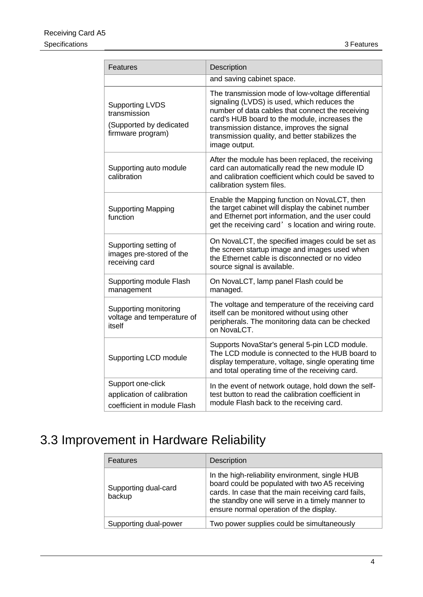| <b>Features</b>                                                                        | Description                                                                                                                                                                                                                                                                                                             |  |  |  |
|----------------------------------------------------------------------------------------|-------------------------------------------------------------------------------------------------------------------------------------------------------------------------------------------------------------------------------------------------------------------------------------------------------------------------|--|--|--|
|                                                                                        | and saving cabinet space.                                                                                                                                                                                                                                                                                               |  |  |  |
| <b>Supporting LVDS</b><br>transmission<br>(Supported by dedicated<br>firmware program) | The transmission mode of low-voltage differential<br>signaling (LVDS) is used, which reduces the<br>number of data cables that connect the receiving<br>card's HUB board to the module, increases the<br>transmission distance, improves the signal<br>transmission quality, and better stabilizes the<br>image output. |  |  |  |
| Supporting auto module<br>calibration                                                  | After the module has been replaced, the receiving<br>card can automatically read the new module ID<br>and calibration coefficient which could be saved to<br>calibration system files.                                                                                                                                  |  |  |  |
| <b>Supporting Mapping</b><br>function                                                  | Enable the Mapping function on NovaLCT, then<br>the target cabinet will display the cabinet number<br>and Ethernet port information, and the user could<br>get the receiving card's location and wiring route.                                                                                                          |  |  |  |
| Supporting setting of<br>images pre-stored of the<br>receiving card                    | On NovaLCT, the specified images could be set as<br>the screen startup image and images used when<br>the Ethernet cable is disconnected or no video<br>source signal is available.                                                                                                                                      |  |  |  |
| Supporting module Flash<br>management                                                  | On NovaLCT, lamp panel Flash could be<br>managed.                                                                                                                                                                                                                                                                       |  |  |  |
| Supporting monitoring<br>voltage and temperature of<br>itself                          | The voltage and temperature of the receiving card<br>itself can be monitored without using other<br>peripherals. The monitoring data can be checked<br>on NovaLCT.                                                                                                                                                      |  |  |  |
| Supporting LCD module                                                                  | Supports NovaStar's general 5-pin LCD module.<br>The LCD module is connected to the HUB board to<br>display temperature, voltage, single operating time<br>and total operating time of the receiving card.                                                                                                              |  |  |  |
| Support one-click<br>application of calibration<br>coefficient in module Flash         | In the event of network outage, hold down the self-<br>test button to read the calibration coefficient in<br>module Flash back to the receiving card.                                                                                                                                                                   |  |  |  |

# <span id="page-7-0"></span>3.3 Improvement in Hardware Reliability

| Features                       | <b>Description</b>                                                                                                                                                                                                                                     |  |  |
|--------------------------------|--------------------------------------------------------------------------------------------------------------------------------------------------------------------------------------------------------------------------------------------------------|--|--|
| Supporting dual-card<br>backup | In the high-reliability environment, single HUB<br>board could be populated with two A5 receiving<br>cards. In case that the main receiving card fails,<br>the standby one will serve in a timely manner to<br>ensure normal operation of the display. |  |  |
| Supporting dual-power          | Two power supplies could be simultaneously                                                                                                                                                                                                             |  |  |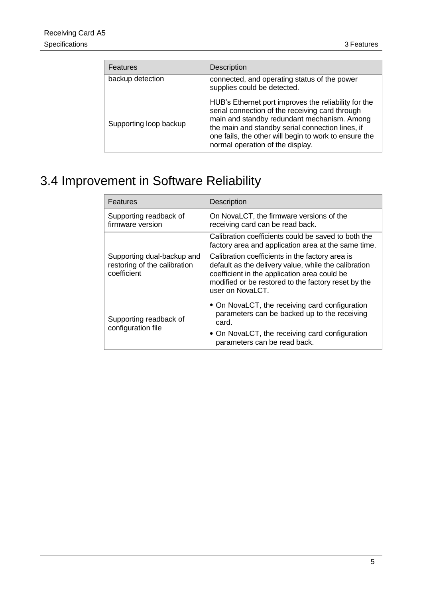| <b>Features</b>        | <b>Description</b>                                                                                                                                                                                                                                                                                      |
|------------------------|---------------------------------------------------------------------------------------------------------------------------------------------------------------------------------------------------------------------------------------------------------------------------------------------------------|
| backup detection       | connected, and operating status of the power<br>supplies could be detected.                                                                                                                                                                                                                             |
| Supporting loop backup | HUB's Ethernet port improves the reliability for the<br>serial connection of the receiving card through<br>main and standby redundant mechanism. Among<br>the main and standby serial connection lines, if<br>one fails, the other will begin to work to ensure the<br>normal operation of the display. |

## <span id="page-8-0"></span>3.4 Improvement in Software Reliability

| Features                                                                  | <b>Description</b>                                                                                                                                                                                                                 |  |  |  |
|---------------------------------------------------------------------------|------------------------------------------------------------------------------------------------------------------------------------------------------------------------------------------------------------------------------------|--|--|--|
| Supporting readback of<br>firmware version                                | On NovaLCT, the firmware versions of the<br>receiving card can be read back.                                                                                                                                                       |  |  |  |
|                                                                           | Calibration coefficients could be saved to both the<br>factory area and application area at the same time.                                                                                                                         |  |  |  |
| Supporting dual-backup and<br>restoring of the calibration<br>coefficient | Calibration coefficients in the factory area is<br>default as the delivery value, while the calibration<br>coefficient in the application area could be<br>modified or be restored to the factory reset by the<br>user on NovaLCT. |  |  |  |
| Supporting readback of                                                    | • On NovaLCT, the receiving card configuration<br>parameters can be backed up to the receiving<br>card.                                                                                                                            |  |  |  |
| configuration file                                                        | • On NovaLCT, the receiving card configuration<br>parameters can be read back.                                                                                                                                                     |  |  |  |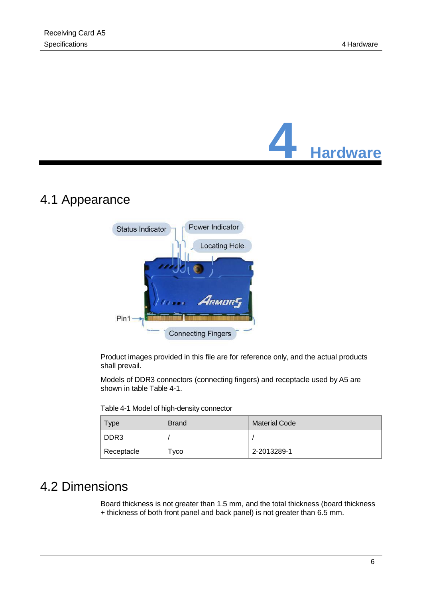

### <span id="page-9-1"></span><span id="page-9-0"></span>4.1 Appearance



Product images provided in this file are for reference only, and the actual products shall prevail.

Models of DDR3 connectors (connecting fingers) and receptacle used by A5 are shown in table [Table](#page-9-3) 4-1.

<span id="page-9-3"></span>Table 4-1 Model of high-density connector

| <b>vpe</b>       | <b>Brand</b> | <b>Material Code</b> |  |
|------------------|--------------|----------------------|--|
| DDR <sub>3</sub> |              |                      |  |
| Receptacle       | Гусо         | 2-2013289-1          |  |

### <span id="page-9-2"></span>4.2 Dimensions

Board thickness is not greater than 1.5 mm, and the total thickness (board thickness + thickness of both front panel and back panel) is not greater than 6.5 mm.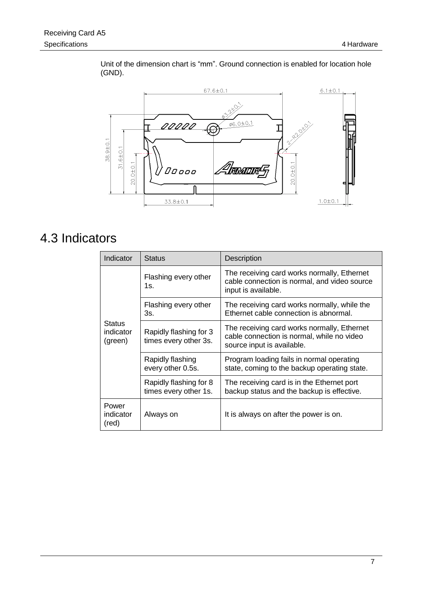

Unit of the dimension chart is "mm". Ground connection is enabled for location hole (GND).

### <span id="page-10-0"></span>4.3 Indicators

| Indicator                             | <b>Status</b>                                   | <b>Description</b>                                                                                                      |  |  |
|---------------------------------------|-------------------------------------------------|-------------------------------------------------------------------------------------------------------------------------|--|--|
| <b>Status</b><br>indicator<br>(green) | Flashing every other<br>1s.                     | The receiving card works normally, Ethernet<br>cable connection is normal, and video source<br>input is available.      |  |  |
|                                       | Flashing every other<br>3s.                     | The receiving card works normally, while the<br>Ethernet cable connection is abnormal.                                  |  |  |
|                                       | Rapidly flashing for 3<br>times every other 3s. | The receiving card works normally, Ethernet<br>cable connection is normal, while no video<br>source input is available. |  |  |
|                                       | Rapidly flashing<br>every other 0.5s.           | Program loading fails in normal operating<br>state, coming to the backup operating state.                               |  |  |
|                                       | Rapidly flashing for 8<br>times every other 1s. | The receiving card is in the Ethernet port<br>backup status and the backup is effective.                                |  |  |
| Power<br>indicator<br>(red)           | Always on                                       | It is always on after the power is on.                                                                                  |  |  |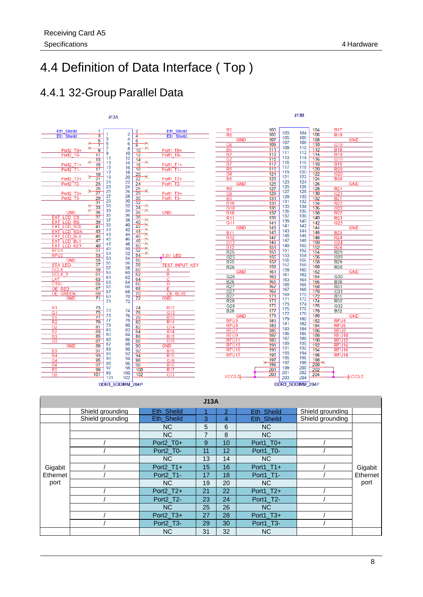### <span id="page-11-0"></span>4.4 Definition of Data Interface ( Top )

### <span id="page-11-1"></span>4.4.1 32-Group Parallel Data

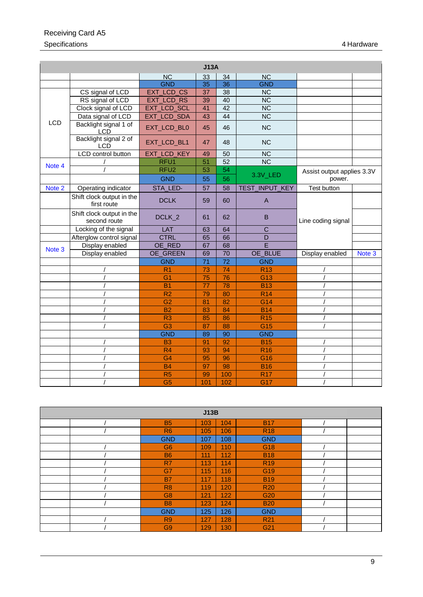| J13A       |                                           |                    |                 |                 |                        |                            |        |
|------------|-------------------------------------------|--------------------|-----------------|-----------------|------------------------|----------------------------|--------|
|            |                                           | <b>NC</b>          | 33              | 34              | <b>NC</b>              |                            |        |
|            |                                           | <b>GND</b>         | 35              | 36              | <b>GND</b>             |                            |        |
|            | CS signal of LCD                          | EXT_LCD_CS         | 37              | 38              | <b>NC</b>              |                            |        |
|            | RS signal of LCD                          | <b>EXT_LCD_RS</b>  | 39              | 40              | $\overline{\text{NC}}$ |                            |        |
|            | Clock signal of LCD                       | <b>EXT_LCD_SCL</b> | 41              | 42              | $\overline{NC}$        |                            |        |
|            | Data signal of LCD                        | EXT_LCD_SDA        | 43              | 44              | $\overline{\text{NC}}$ |                            |        |
| <b>LCD</b> | Backlight signal 1 of<br><b>LCD</b>       | EXT_LCD_BL0        | 45              | 46              | <b>NC</b>              |                            |        |
|            | Backlight signal 2 of<br><b>LCD</b>       | EXT_LCD_BL1        | 47              | 48              | <b>NC</b>              |                            |        |
|            | <b>LCD</b> control button                 | EXT_LCD_KEY        | 49              | 50              | <b>NC</b>              |                            |        |
| Note 4     |                                           | RFU1               | 51              | $\overline{52}$ | $\overline{\text{NC}}$ |                            |        |
|            |                                           | RFU <sub>2</sub>   | 53              | 54              |                        | Assist output applies 3.3V |        |
|            |                                           | <b>GND</b>         | 55              | 56              | 3.3V_LED               | power.                     |        |
| Note 2     | Operating indicator                       | STA_LED-           | 57              | 58              | TEST_INPUT_KEY         | <b>Test button</b>         |        |
|            | Shift clock output in the<br>first route  | <b>DCLK</b>        | 59              | 60              | $\mathsf{A}$           |                            |        |
|            | Shift clock output in the<br>second route | DCLK_2             | 61              | 62              | B                      | Line coding signal         |        |
|            | Locking of the signal                     | LAT                | 63              | 64              | $\overline{C}$         |                            |        |
|            | Afterglow control signal                  | <b>CTRL</b>        | 65              | 66              | D                      |                            |        |
| Note 3     | Display enabled                           | OE_RED             | 67              | 68              | Ē                      |                            |        |
|            | Display enabled                           | OE_GREEN           | 69              | 70              | OE_BLUE                | Display enabled            | Note 3 |
|            |                                           | <b>GND</b>         | $\overline{71}$ | $\overline{72}$ | <b>GND</b>             |                            |        |
|            |                                           | R <sub>1</sub>     | 73              | 74              | <b>R13</b>             |                            |        |
|            |                                           | G <sub>1</sub>     | 75              | 76              | G <sub>13</sub>        |                            |        |
|            |                                           | B <sub>1</sub>     | $\overline{77}$ | 78              | <b>B13</b>             |                            |        |
|            |                                           | R <sub>2</sub>     | 79              | 80              | <b>R14</b>             |                            |        |
|            |                                           | G <sub>2</sub>     | 81              | 82              | G <sub>14</sub>        |                            |        |
|            |                                           | <b>B2</b>          | 83              | 84              | <b>B14</b>             |                            |        |
|            |                                           | R <sub>3</sub>     | 85              | 86              | <b>R15</b>             |                            |        |
|            |                                           | G <sub>3</sub>     | 87              | 88              | G15                    |                            |        |
|            |                                           | <b>GND</b>         | 89              | 90              | <b>GND</b>             |                            |        |
|            |                                           | <b>B3</b>          | 91              | 92              | <b>B15</b>             |                            |        |
|            |                                           | R4                 | 93              | 94              | <b>R16</b>             |                            |        |
|            |                                           | G <sub>4</sub>     | 95              | 96              | G16                    |                            |        |
|            |                                           | <b>B4</b>          | 97              | 98              | <b>B16</b>             |                            |        |
|            |                                           | R <sub>5</sub>     | 99              | 100             | <b>R17</b>             |                            |        |
|            |                                           | G <sub>5</sub>     | 101             | 102             | G17                    |                            |        |

| J13B |                |     |     |                 |  |  |  |
|------|----------------|-----|-----|-----------------|--|--|--|
|      | <b>B5</b>      | 103 | 104 | <b>B17</b>      |  |  |  |
|      | R <sub>6</sub> | 105 | 106 | <b>R18</b>      |  |  |  |
|      | <b>GND</b>     | 107 | 108 | <b>GND</b>      |  |  |  |
|      | G <sub>6</sub> | 109 | 110 | G18             |  |  |  |
|      | <b>B6</b>      | 111 | 112 | <b>B18</b>      |  |  |  |
|      | R7             | 113 | 114 | <b>R19</b>      |  |  |  |
|      | G7             | 115 | 116 | G <sub>19</sub> |  |  |  |
|      | <b>B7</b>      | 117 | 118 | <b>B19</b>      |  |  |  |
|      | R <sub>8</sub> | 119 | 120 | <b>R20</b>      |  |  |  |
|      | G <sub>8</sub> | 121 | 122 | G <sub>20</sub> |  |  |  |
|      | <b>B8</b>      | 123 | 124 | <b>B20</b>      |  |  |  |
|      | <b>GND</b>     | 125 | 126 | <b>GND</b>      |  |  |  |
|      | R <sub>9</sub> | 127 | 128 | R <sub>21</sub> |  |  |  |
|      | G <sub>9</sub> | 129 | 130 | G21             |  |  |  |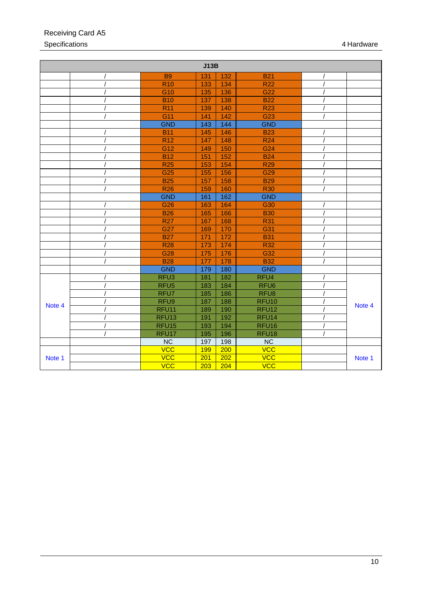| J13B   |  |                   |     |     |                   |        |
|--------|--|-------------------|-----|-----|-------------------|--------|
|        |  | <b>B9</b>         | 131 | 132 | <b>B21</b>        |        |
|        |  | <b>R10</b>        | 133 | 134 | <b>R22</b>        |        |
|        |  | G10               | 135 | 136 | G <sub>22</sub>   |        |
|        |  | <b>B10</b>        | 137 | 138 | <b>B22</b>        |        |
|        |  | <b>R11</b>        | 139 | 140 | <b>R23</b>        |        |
|        |  | G11               | 141 | 142 | G23               |        |
|        |  | <b>GND</b>        | 143 | 144 | <b>GND</b>        |        |
|        |  | <b>B11</b>        | 145 | 146 | <b>B23</b>        |        |
|        |  | <b>R12</b>        | 147 | 148 | <b>R24</b>        |        |
|        |  | G12               | 149 | 150 | G24               |        |
|        |  | <b>B12</b>        | 151 | 152 | <b>B24</b>        |        |
|        |  | <b>R25</b>        | 153 | 154 | <b>R29</b>        |        |
|        |  | G25               | 155 | 156 | G <sub>29</sub>   |        |
|        |  | <b>B25</b>        | 157 | 158 | <b>B29</b>        |        |
|        |  | <b>R26</b>        | 159 | 160 | <b>R30</b>        |        |
|        |  | <b>GND</b>        | 161 | 162 | <b>GND</b>        |        |
|        |  | G26               | 163 | 164 | G30               |        |
|        |  | <b>B26</b>        | 165 | 166 | <b>B30</b>        |        |
|        |  | <b>R27</b>        | 167 | 168 | <b>R31</b>        |        |
|        |  | G27               | 169 | 170 | G31               |        |
|        |  | <b>B27</b>        | 171 | 172 | <b>B31</b>        |        |
|        |  | <b>R28</b>        | 173 | 174 | <b>R32</b>        |        |
|        |  | G28               | 175 | 176 | G32               |        |
|        |  | <b>B28</b>        | 177 | 178 | <b>B32</b>        |        |
|        |  | <b>GND</b>        | 179 | 180 | <b>GND</b>        |        |
|        |  | RFU <sub>3</sub>  | 181 | 182 | RFU4              |        |
|        |  | RFU <sub>5</sub>  | 183 | 184 | RFU <sub>6</sub>  |        |
|        |  | RFU7              | 185 | 186 | RFU <sub>8</sub>  |        |
| Note 4 |  | RFU9              | 187 | 188 | RFU <sub>10</sub> | Note 4 |
|        |  | RFU11             | 189 | 190 | RFU <sub>12</sub> |        |
|        |  | RFU <sub>13</sub> | 191 | 192 | RFU <sub>14</sub> |        |
|        |  | RFU <sub>15</sub> | 193 | 194 | RFU <sub>16</sub> |        |
|        |  | RFU17             | 195 | 196 | RFU <sub>18</sub> |        |
|        |  | <b>NC</b>         | 197 | 198 | $\overline{NC}$   |        |
|        |  | <b>VCC</b>        | 199 | 200 | <b>VCC</b>        |        |
| Note 1 |  | <b>VCC</b>        | 201 | 202 | <b>VCC</b>        | Note 1 |
|        |  | <b>VCC</b>        | 203 | 204 | <b>VCC</b>        |        |

### Receiving Card A5 Specifications 4 Hardware 2001 12:00 12:00 12:00 12:00 12:00 12:00 12:00 12:00 12:00 12:00 12:00 12:00 12:00 12:00 12:00 12:00 12:00 12:00 12:00 12:00 12:00 12:00 12:00 12:00 12:00 12:00 12:00 12:00 12:00 12:00 12:00 12:00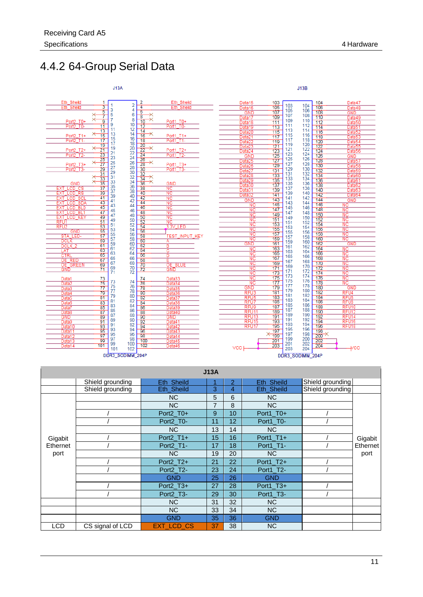### <span id="page-14-0"></span>4.4.2 64-Group Serial Data



|            |                  |                   | J13A           |    |             |                  |          |
|------------|------------------|-------------------|----------------|----|-------------|------------------|----------|
|            | Shield grounding | Eth Sheild        |                | 2  | Eth Sheild  | Shield grounding |          |
|            | Shield grounding | Eth_Sheild        | 3              | 4  | Eth_Sheild  | Shield grounding |          |
|            |                  | NC.               | 5              | 6  | <b>NC</b>   |                  | Gigabit  |
|            |                  | N <sub>C</sub>    | $\overline{7}$ | 8  | <b>NC</b>   |                  |          |
|            |                  | Port2_T0+         | 9              | 10 | Port1_T0+   |                  |          |
|            |                  | Port2 T0-         | 11             | 12 | Port1 T0-   |                  |          |
|            |                  | N <sub>C</sub>    | 13             | 14 | <b>NC</b>   |                  |          |
| Gigabit    |                  | $Port2_T1 +$      | 15             | 16 | $Port1_T1+$ |                  |          |
| Ethernet   |                  | Port2_T1-         | 17             | 18 | Port1 T1-   |                  | Ethernet |
| port       |                  | <b>NC</b>         | 19             | 20 | <b>NC</b>   |                  | port     |
|            |                  | Port2_T2+         | 21             | 22 | Port1_T2+   |                  |          |
|            |                  | Port2 T2-         | 23             | 24 | Port1 T2-   |                  |          |
|            |                  | <b>GND</b>        | 25             | 26 | <b>GND</b>  |                  |          |
|            |                  | Port2_T3+         | 27             | 28 | Port1_T3+   |                  |          |
|            |                  | Port2 T3-         | 29             | 30 | Port1 T3-   |                  |          |
|            |                  | <b>NC</b>         | 31             | 32 | <b>NC</b>   |                  |          |
|            |                  | N <sub>C</sub>    | 33             | 34 | <b>NC</b>   |                  |          |
|            |                  | <b>GND</b>        | 35             | 36 | <b>GND</b>  |                  |          |
| <b>LCD</b> | CS signal of LCD | <b>EXT_LCD_CS</b> | 37             | 38 | <b>NC</b>   |                  |          |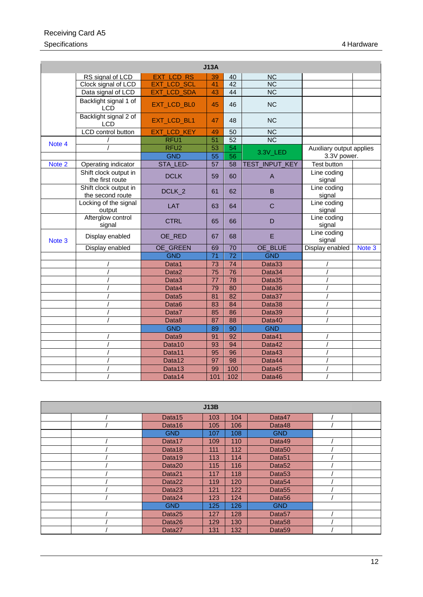### Receiving Card A5 Specifications 4 Hardware 2001 12:00 12:00 12:00 12:00 12:00 12:00 12:00 12:00 12:00 12:00 12:00 12:00 12:00 12:00 12:00 12:00 12:00 12:00 12:00 12:00 12:00 12:00 12:00 12:00 12:00 12:00 12:00 12:00 12:00 12:00 12:00 12:00

|        |                                           |                       | J13A            |                 |                        |                          |        |
|--------|-------------------------------------------|-----------------------|-----------------|-----------------|------------------------|--------------------------|--------|
|        | RS signal of LCD                          | <b>EXT LCD RS</b>     | 39              | 40              | <b>NC</b>              |                          |        |
|        | Clock signal of LCD                       | <b>EXT_LCD_SCL</b>    | 41              | 42              | <b>NC</b>              |                          |        |
|        | Data signal of LCD                        | EXT_LCD_SDA           | 43              | 44              | <b>NC</b>              |                          |        |
|        | Backlight signal 1 of<br><b>LCD</b>       | EXT_LCD_BL0           | 45              | 46              | <b>NC</b>              |                          |        |
|        | Backlight signal 2 of<br><b>LCD</b>       | EXT_LCD_BL1           | 47              | 48              | <b>NC</b>              |                          |        |
|        | LCD control button                        | LCD_KEY<br><b>EXT</b> | 49              | 50              | $\overline{\text{NC}}$ |                          |        |
| Note 4 |                                           | RFU <sub>1</sub>      | 51              | 52              | $\overline{\text{NC}}$ |                          |        |
|        |                                           | RFU <sub>2</sub>      | 53              | 54              | 3.3V_LED               | Auxiliary output applies |        |
|        |                                           | <b>GND</b>            | 55              | 56              |                        | 3.3V power.              |        |
| Note 2 | Operating indicator                       | STA_LED-              | 57              | 58              | INPUT_KEY<br>TEST      | <b>Test button</b>       |        |
|        | Shift clock output in<br>the first route  | <b>DCLK</b>           | 59              | 60              | $\overline{A}$         | Line coding<br>signal    |        |
|        | Shift clock output in<br>the second route | DCLK <sub>2</sub>     | 61              | 62              | B                      | Line coding<br>signal    |        |
|        | Locking of the signal<br>output           | <b>LAT</b>            | 63              | 64              | $\overline{C}$         | Line coding<br>signal    |        |
|        | Afterglow control<br>signal               | <b>CTRL</b>           | 65              | 66              | D                      | Line coding<br>signal    |        |
| Note 3 | Display enabled                           | OE_RED                | 67              | 68              | E                      | Line coding<br>signal    |        |
|        | Display enabled                           | OE_GREEN              | 69              | 70              | OE_BLUE                | Display enabled          | Note 3 |
|        |                                           | <b>GND</b>            | $\overline{71}$ | $\overline{72}$ | <b>GND</b>             |                          |        |
|        |                                           | Data1                 | 73              | $\overline{74}$ | Data33                 |                          |        |
|        |                                           | Data2                 | 75              | 76              | Data34                 |                          |        |
|        |                                           | Data3                 | 77              | 78              | Data35                 |                          |        |
|        |                                           | Data4                 | 79              | 80              | Data36                 |                          |        |
|        |                                           | Data <sub>5</sub>     | 81              | 82              | Data37                 |                          |        |
|        |                                           | Data <sub>6</sub>     | 83              | 84              | Data38                 |                          |        |
|        |                                           | Data7                 | 85              | 86              | Data39                 |                          |        |
|        |                                           | Data8                 | 87              | 88              | Data40                 |                          |        |
|        |                                           | <b>GND</b>            | 89              | 90              | <b>GND</b>             |                          |        |
|        |                                           | Data9                 | 91              | 92              | Data41                 |                          |        |
|        |                                           | Data10                | 93              | 94              | Data42                 |                          |        |
|        |                                           | Data11                | 95              | 96              | Data43                 |                          |        |
|        |                                           | Data12                | 97              | 98              | Data44                 |                          |        |
|        |                                           | Data13                | 99              | 100             | Data45                 |                          |        |
|        |                                           | Data14                | 101             | 102             | Data46                 |                          |        |

| J13B |                    |     |     |                    |  |  |
|------|--------------------|-----|-----|--------------------|--|--|
|      | Data <sub>15</sub> | 103 | 104 | Data47             |  |  |
|      | Data16             | 105 | 106 | Data48             |  |  |
|      | <b>GND</b>         | 107 | 108 | <b>GND</b>         |  |  |
|      | Data17             | 109 | 110 | Data49             |  |  |
|      | Data18             | 111 | 112 | Data <sub>50</sub> |  |  |
|      | Data19             | 113 | 114 | Data <sub>51</sub> |  |  |
|      | Data <sub>20</sub> | 115 | 116 | Data <sub>52</sub> |  |  |
|      | Data21             | 117 | 118 | Data <sub>53</sub> |  |  |
|      | Data <sub>22</sub> | 119 | 120 | Data <sub>54</sub> |  |  |
|      | Data <sub>23</sub> | 121 | 122 | Data <sub>55</sub> |  |  |
|      | Data24             | 123 | 124 | Data <sub>56</sub> |  |  |
|      | <b>GND</b>         | 125 | 126 | <b>GND</b>         |  |  |
|      | Data25             | 127 | 128 | Data <sub>57</sub> |  |  |
|      | Data26             | 129 | 130 | Data <sub>58</sub> |  |  |
|      | Data <sub>27</sub> | 131 | 132 | Data <sub>59</sub> |  |  |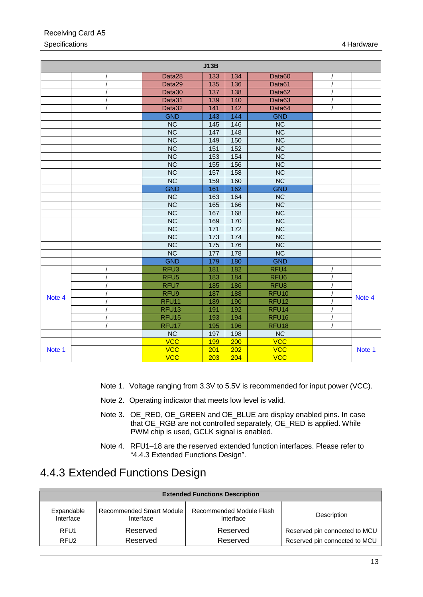|        |                        | J13B              |                 |                        |  |        |
|--------|------------------------|-------------------|-----------------|------------------------|--|--------|
|        | Data28                 | 133               | 134             | Data60                 |  |        |
|        | Data29                 | 135               | 136             | Data61                 |  |        |
|        | Data30                 | 137               | 138             | Data62                 |  |        |
|        | Data31                 | 139               | 140             | Data63                 |  |        |
|        | Data32                 | 141               | 142             | Data64                 |  |        |
|        | <b>GND</b>             | 143               | 144             | <b>GND</b>             |  |        |
|        | <b>NC</b>              | 145               | 146             | <b>NC</b>              |  |        |
|        | $\overline{\text{NC}}$ | 147               | 148             | NC                     |  |        |
|        | $\overline{\text{NC}}$ | 149               | 150             | $\overline{\text{NC}}$ |  |        |
|        | $\overline{\text{NC}}$ | 151               | 152             | $\overline{\text{NC}}$ |  |        |
|        | $\overline{\text{NC}}$ | 153               | 154             | $\overline{\text{NC}}$ |  |        |
|        | $\overline{\text{NC}}$ | 155               | 156             | $\overline{\text{NC}}$ |  |        |
|        | $\overline{\text{NC}}$ | 157               | 158             | $\overline{\text{NC}}$ |  |        |
|        | $\overline{\text{NC}}$ | 159               | 160             | NC                     |  |        |
|        | <b>GND</b>             | 161               | 162             | <b>GND</b>             |  |        |
|        | <b>NC</b>              | 163               | 164             | <b>NC</b>              |  |        |
|        | $\overline{\text{NC}}$ | 165               | 166             | NC                     |  |        |
|        | $\overline{\text{NC}}$ | 167               | 168             | $\overline{\text{NC}}$ |  |        |
|        | $\overline{\text{NC}}$ | 169               | 170             | $\overline{\text{NC}}$ |  |        |
|        | $\overline{\text{NC}}$ | 171               | $\frac{1}{172}$ | $\overline{\text{NC}}$ |  |        |
|        | $\overline{\text{NC}}$ | 173               | 174             | NC                     |  |        |
|        | $\overline{\text{NC}}$ | $\frac{175}{175}$ | 176             | $\overline{\text{NC}}$ |  |        |
|        | $\overline{\text{NC}}$ | 177               | 178             | $\overline{\text{NC}}$ |  |        |
|        | <b>GND</b>             | 179               | 180             | <b>GND</b>             |  |        |
|        | RFU <sub>3</sub>       | 181               | 182             | RFU <sub>4</sub>       |  |        |
|        | RFU <sub>5</sub>       | 183               | 184             | RFU <sub>6</sub>       |  |        |
|        | RFU7                   | 185               | 186             | RFU <sub>8</sub>       |  |        |
| Note 4 | RFU9                   | 187               | 188             | RFU <sub>10</sub>      |  | Note 4 |
|        | RFU <sub>11</sub>      | 189               | 190             | RFU <sub>12</sub>      |  |        |
|        | RFU <sub>13</sub>      | 191               | 192             | RFU <sub>14</sub>      |  |        |
|        | RFU <sub>15</sub>      | 193               | 194             | RFU <sub>16</sub>      |  |        |
|        | RFU17                  | 195               | 196             | RFU <sub>18</sub>      |  |        |
|        | NC                     | 197               | 198             | $\overline{\text{NC}}$ |  |        |
|        | <b>VCC</b>             | 199               | 200             | <b>VCC</b>             |  |        |
| Note 1 | $\overline{VCC}$       | 201               | 202             | VCC                    |  | Note 1 |
|        | <b>VCC</b>             | 203               | 204             | <b>VCC</b>             |  |        |

### Receiving Card A5 Specifications 4 Hardware 2001 12:00 12:00 12:00 12:00 12:00 12:00 12:00 12:00 12:00 12:00 12:00 12:00 12:00 12:00 12:00 12:00 12:00 12:00 12:00 12:00 12:00 12:00 12:00 12:00 12:00 12:00 12:00 12:00 12:00 12:00 12:00 12:00

- <span id="page-16-4"></span>Note 1. Voltage ranging from 3.3V to 5.5V is recommended for input power (VCC).
- <span id="page-16-2"></span>Note 2. Operating indicator that meets low level is valid.
- Note 3. OE\_RED, OE\_GREEN and OE\_BLUE are display enabled pins. In case that OE\_RGB are not controlled separately, OE\_RED is applied. While PWM chip is used, GCLK signal is enabled.
- Note 4. RFU1–18 are the reserved extended function interfaces. Please refer to ["4.4.3](#page-16-0) [Extended Functions](#page-16-0) Design".

### <span id="page-16-3"></span><span id="page-16-1"></span><span id="page-16-0"></span>4.4.3 Extended Functions Design

| <b>Extended Functions Description</b> |                                       |                                       |                               |  |  |  |
|---------------------------------------|---------------------------------------|---------------------------------------|-------------------------------|--|--|--|
| Expandable<br>Interface               | Recommended Smart Module<br>Interface | Recommended Module Flash<br>Interface | Description                   |  |  |  |
| RFU <sub>1</sub>                      | Reserved                              | Reserved                              | Reserved pin connected to MCU |  |  |  |
| RFU <sub>2</sub>                      | Reserved                              | Reserved                              | Reserved pin connected to MCU |  |  |  |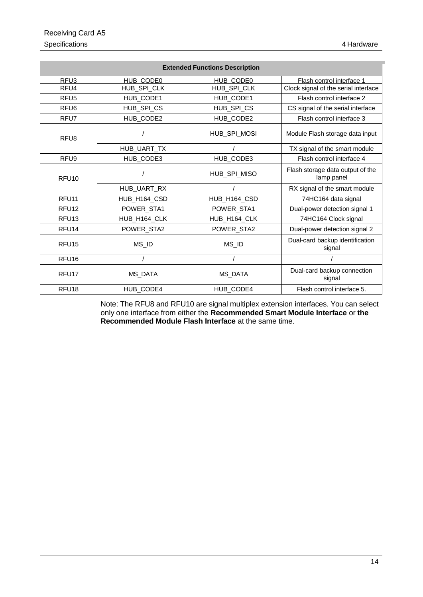| <b>Extended Functions Description</b> |                  |                |                                                |  |  |  |
|---------------------------------------|------------------|----------------|------------------------------------------------|--|--|--|
| RFU3                                  | HUB CODE0        | HUB CODE0      | Flash control interface 1                      |  |  |  |
| RFU4                                  | HUB_SPI_CLK      | HUB_SPI_CLK    | Clock signal of the serial interface           |  |  |  |
| RFU <sub>5</sub>                      | HUB_CODE1        | HUB_CODE1      | Flash control interface 2                      |  |  |  |
| RFU <sub>6</sub>                      | HUB_SPI_CS       | HUB_SPI_CS     | CS signal of the serial interface              |  |  |  |
| RFU7                                  | HUB_CODE2        | HUB_CODE2      | Flash control interface 3                      |  |  |  |
| RFU8                                  |                  | HUB_SPI_MOSI   | Module Flash storage data input                |  |  |  |
|                                       | HUB_UART_TX      |                | TX signal of the smart module                  |  |  |  |
| RFU <sub>9</sub>                      | HUB_CODE3        | HUB_CODE3      | Flash control interface 4                      |  |  |  |
| RFU <sub>10</sub>                     |                  | HUB_SPI_MISO   | Flash storage data output of the<br>lamp panel |  |  |  |
|                                       | HUB_UART_RX      |                | RX signal of the smart module                  |  |  |  |
| RFU <sub>11</sub>                     | HUB_H164_CSD     | HUB_H164_CSD   | 74HC164 data signal                            |  |  |  |
| RFU <sub>12</sub>                     | POWER_STA1       | POWER_STA1     | Dual-power detection signal 1                  |  |  |  |
| RFU <sub>13</sub>                     | HUB_H164_CLK     | HUB_H164_CLK   | 74HC164 Clock signal                           |  |  |  |
| RFU14                                 | POWER_STA2       | POWER_STA2     | Dual-power detection signal 2                  |  |  |  |
| RFU <sub>15</sub>                     | MS_ID            | MS_ID          | Dual-card backup identification<br>signal      |  |  |  |
| RFU <sub>16</sub>                     |                  |                |                                                |  |  |  |
| RFU <sub>17</sub>                     | <b>MS DATA</b>   | <b>MS DATA</b> | Dual-card backup connection<br>signal          |  |  |  |
| RFU <sub>18</sub>                     | <b>HUB CODE4</b> | HUB CODE4      | Flash control interface 5.                     |  |  |  |

Note: The RFU8 and RFU10 are signal multiplex extension interfaces. You can select only one interface from either the **Recommended Smart Module Interface** or **the Recommended Module Flash Interface** at the same time.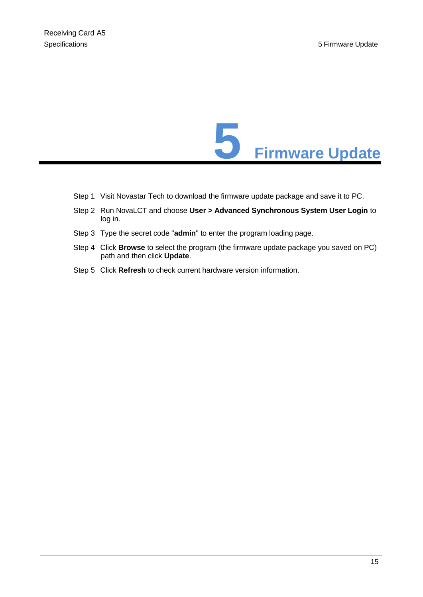

- <span id="page-18-0"></span>Step 1 Visit Novastar Tech to download the firmware update package and save it to PC.
- Step 2 Run NovaLCT and choose **User > Advanced Synchronous System User Login** to log in.
- Step 3 Type the secret code "**admin**" to enter the program loading page.
- Step 4 Click **Browse** to select the program (the firmware update package you saved on PC) path and then click **Update**.
- Step 5 Click **Refresh** to check current hardware version information.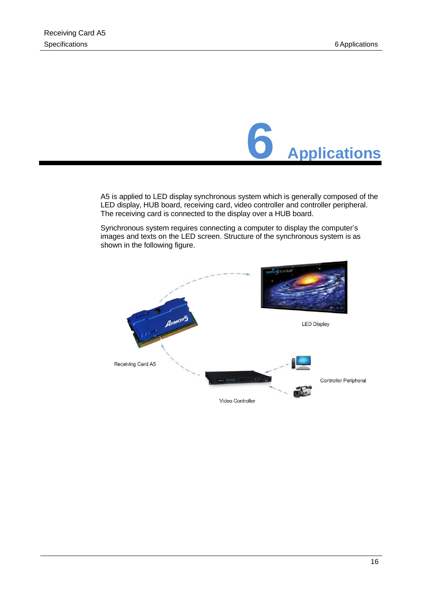

<span id="page-19-0"></span>A5 is applied to LED display synchronous system which is generally composed of the LED display, HUB board, receiving card, video controller and controller peripheral. The receiving card is connected to the display over a HUB board.

Synchronous system requires connecting a computer to display the computer's images and texts on the LED screen. Structure of the synchronous system is as shown in the following figure.

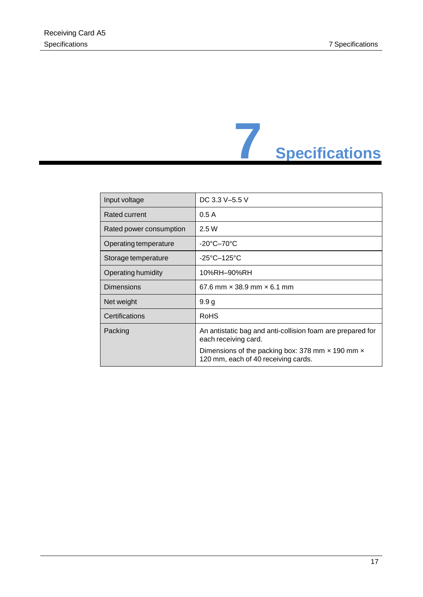

<span id="page-20-0"></span>

| Input voltage           | DC 3.3 V-5.5 V                                                                                                                                                                              |
|-------------------------|---------------------------------------------------------------------------------------------------------------------------------------------------------------------------------------------|
| Rated current           | 0.5A                                                                                                                                                                                        |
| Rated power consumption | 2.5W                                                                                                                                                                                        |
| Operating temperature   | $-20^{\circ}$ C $-70^{\circ}$ C                                                                                                                                                             |
| Storage temperature     | $-25^{\circ}$ C $-125^{\circ}$ C                                                                                                                                                            |
| Operating humidity      | 10%RH–90%RH                                                                                                                                                                                 |
| <b>Dimensions</b>       | 67.6 mm $\times$ 38.9 mm $\times$ 6.1 mm                                                                                                                                                    |
| Net weight              | 9.9 <sub>g</sub>                                                                                                                                                                            |
| Certifications          | RoHS                                                                                                                                                                                        |
| Packing                 | An antistatic bag and anti-collision foam are prepared for<br>each receiving card.<br>Dimensions of the packing box: 378 mm $\times$ 190 mm $\times$<br>120 mm, each of 40 receiving cards. |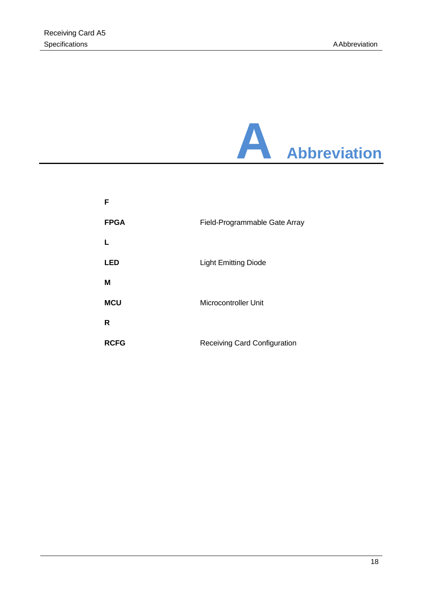<span id="page-21-0"></span>

| F           |                                     |
|-------------|-------------------------------------|
| <b>FPGA</b> | Field-Programmable Gate Array       |
| L           |                                     |
| <b>LED</b>  | <b>Light Emitting Diode</b>         |
| M           |                                     |
| <b>MCU</b>  | Microcontroller Unit                |
| R           |                                     |
| <b>RCFG</b> | <b>Receiving Card Configuration</b> |